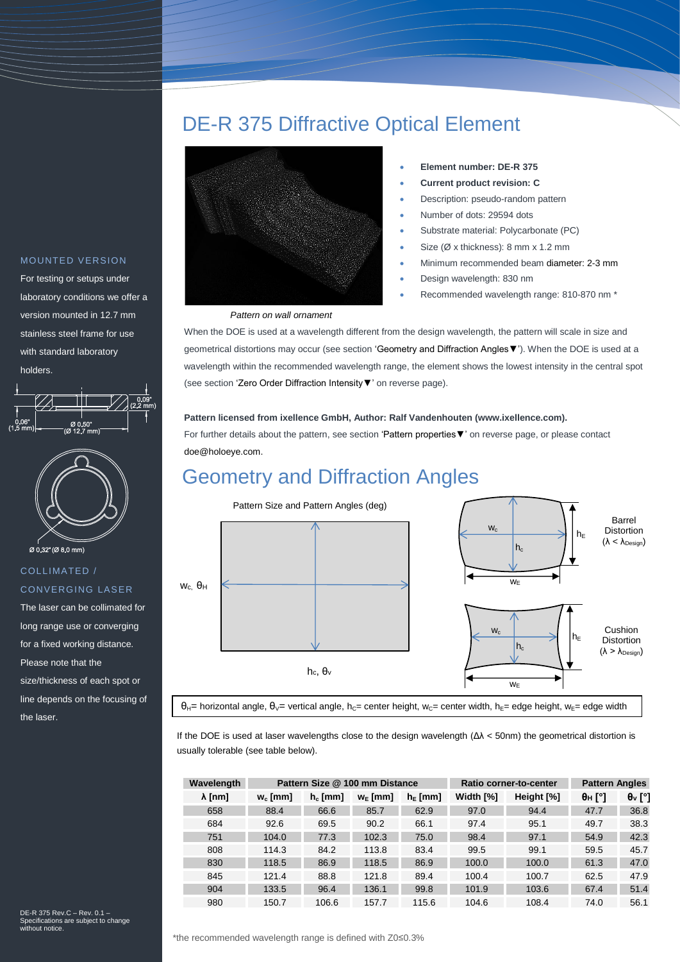### DE-R 375 Diffractive Optical Element



#### *Pattern on wall ornament*

- **Element number: DE-R 375**
- **Current product revision: C**
- Description: pseudo-random pattern
- Number of dots: 29594 dots
- Substrate material: Polycarbonate (PC)
- Size (Ø x thickness): 8 mm x 1.2 mm
- Minimum recommended beam diameter: 2-3 mm
- Design wavelength: 830 nm
- Recommended wavelength range: 810-870 nm \*

When the DOE is used at a wavelength different from the design wavelength, the pattern will scale in size and geometrical distortions may occur (see section ['Geometry and Diffraction Angles▼'\)](#page-0-0). When the DOE is used at a wavelength within the recommended wavelength range, the element shows the lowest intensity in the central spot (see sectio[n 'Zero Order Diffraction Intensity▼'](#page-1-0) on reverse page).

#### **Pattern licensed from ixellence GmbH, Author: Ralf Vandenhouten (www.ixellence.com).**

For further details about the pattern, see section ['Pattern properties▼'](#page-1-1) on reverse page, or please contact [doe@holoeye.com.](file:///C:/Users/aw/.atlassian-companion/3ea00ccb-f3ab-47e5-aee9-2e2cc89fb8e2/doe@holoeye.com)

## <span id="page-0-0"></span>Geometry and Diffraction Angles



If the DOE is used at laser wavelengths close to the design wavelength (Δλ < 50nm) the geometrical distortion is usually tolerable (see table below).

| Wavelength     |            | Pattern Size @ 100 mm Distance |              |            |           | Ratio corner-to-center | <b>Pattern Angles</b> |                             |
|----------------|------------|--------------------------------|--------------|------------|-----------|------------------------|-----------------------|-----------------------------|
| $\lambda$ [nm] | $w_c$ [mm] | $h_c$ [mm]                     | $W_{E}$ [mm] | $h_E$ [mm] | Width [%] | Height [%]             | $\theta_H$ [°]        | $\theta$ <sub>v</sub> $[°]$ |
| 658            | 88.4       | 66.6                           | 85.7         | 62.9       | 97.0      | 94.4                   | 47.7                  | 36.8                        |
| 684            | 92.6       | 69.5                           | 90.2         | 66.1       | 97.4      | 95.1                   | 49.7                  | 38.3                        |
| 751            | 104.0      | 77.3                           | 102.3        | 75.0       | 98.4      | 97.1                   | 54.9                  | 42.3                        |
| 808            | 114.3      | 84.2                           | 113.8        | 83.4       | 99.5      | 99.1                   | 59.5                  | 45.7                        |
| 830            | 118.5      | 86.9                           | 118.5        | 86.9       | 100.0     | 100.0                  | 61.3                  | 47.0                        |
| 845            | 121.4      | 88.8                           | 121.8        | 89.4       | 100.4     | 100.7                  | 62.5                  | 47.9                        |
| 904            | 133.5      | 96.4                           | 136.1        | 99.8       | 101.9     | 103.6                  | 67.4                  | 51.4                        |
| 980            | 150.7      | 106.6                          | 157.7        | 115.6      | 104.6     | 108.4                  | 74.0                  | 56.1                        |

#### MOUNTED VERSION

For testing or setups under laboratory conditions we offer a version mounted in 12.7 mm stainless steel frame for use with standard laboratory holders.





COLLIMATED / **CONVERGING LASER** 

The laser can be collimated for long range use or converging for a fixed working distance. Please note that the size/thickness of each spot or line depends on the focusing of the laser.

DE-R 375 Rev.C – Rev. 0.1 – Specifications are subject to change with notice.